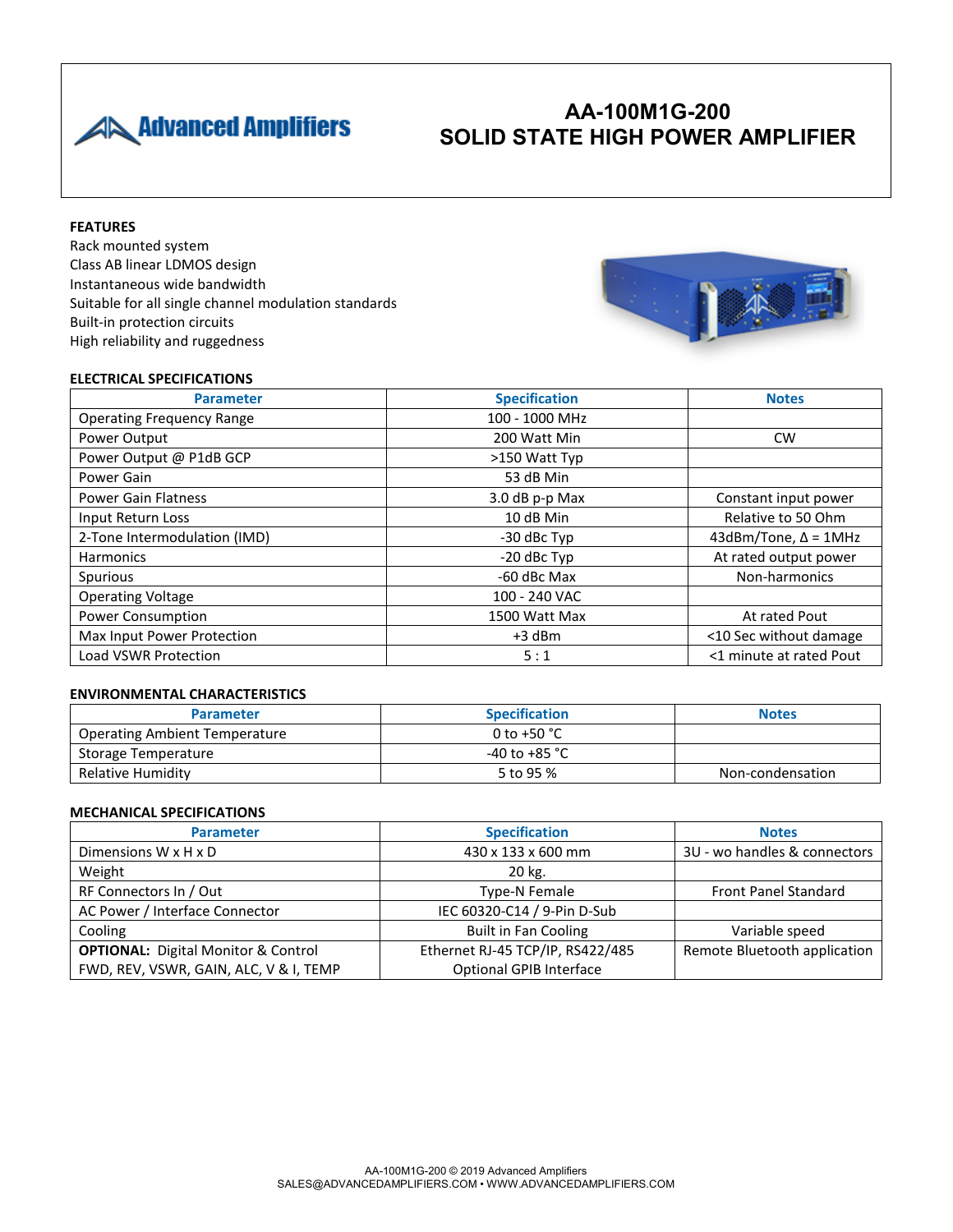

# **AA-100M1G-200 SOLID STATE HIGH POWER AMPLIFIER**

### **FEATURES**

Rack mounted system Class AB linear LDMOS design Instantaneous wide bandwidth Suitable for all single channel modulation standards Built-in protection circuits High reliability and ruggedness



### **ELECTRICAL SPECIFICATIONS**

| <b>Parameter</b>                 | <b>Specification</b> | <b>Notes</b>                   |
|----------------------------------|----------------------|--------------------------------|
| <b>Operating Frequency Range</b> | 100 - 1000 MHz       |                                |
| Power Output                     | 200 Watt Min         | CW                             |
| Power Output @ P1dB GCP          | >150 Watt Typ        |                                |
| Power Gain                       | 53 dB Min            |                                |
| <b>Power Gain Flatness</b>       | 3.0 dB p-p Max       | Constant input power           |
| Input Return Loss                | 10 dB Min            | Relative to 50 Ohm             |
| 2-Tone Intermodulation (IMD)     | -30 dBc Typ          | $43$ dBm/Tone, $\Delta$ = 1MHz |
| <b>Harmonics</b>                 | -20 dBc Typ          | At rated output power          |
| Spurious                         | -60 dBc Max          | Non-harmonics                  |
| <b>Operating Voltage</b>         | 100 - 240 VAC        |                                |
| <b>Power Consumption</b>         | 1500 Watt Max        | At rated Pout                  |
| Max Input Power Protection       | $+3$ dBm             | <10 Sec without damage         |
| Load VSWR Protection             | 5:1                  | <1 minute at rated Pout        |

### **ENVIRONMENTAL CHARACTERISTICS**

| <b>Parameter</b>                     | <b>Specification</b>    | <b>Notes</b>     |
|--------------------------------------|-------------------------|------------------|
| <b>Operating Ambient Temperature</b> | 0 to +50 $^{\circ}$ C   |                  |
| Storage Temperature                  | -40 to +85 $^{\circ}$ C |                  |
| Relative Humidity                    | 5 to 95 %               | Non-condensation |

### **MECHANICAL SPECIFICATIONS**

| <b>Parameter</b>                           | <b>Specification</b>             | <b>Notes</b>                 |
|--------------------------------------------|----------------------------------|------------------------------|
| Dimensions $W \times H \times D$           | 430 x 133 x 600 mm               | 3U - wo handles & connectors |
| Weight                                     | 20 kg.                           |                              |
| RF Connectors In / Out                     | Type-N Female                    | <b>Front Panel Standard</b>  |
| AC Power / Interface Connector             | IEC 60320-C14 / 9-Pin D-Sub      |                              |
| Cooling                                    | <b>Built in Fan Cooling</b>      | Variable speed               |
| <b>OPTIONAL:</b> Digital Monitor & Control | Ethernet RJ-45 TCP/IP, RS422/485 | Remote Bluetooth application |
| FWD, REV, VSWR, GAIN, ALC, V & I, TEMP     | Optional GPIB Interface          |                              |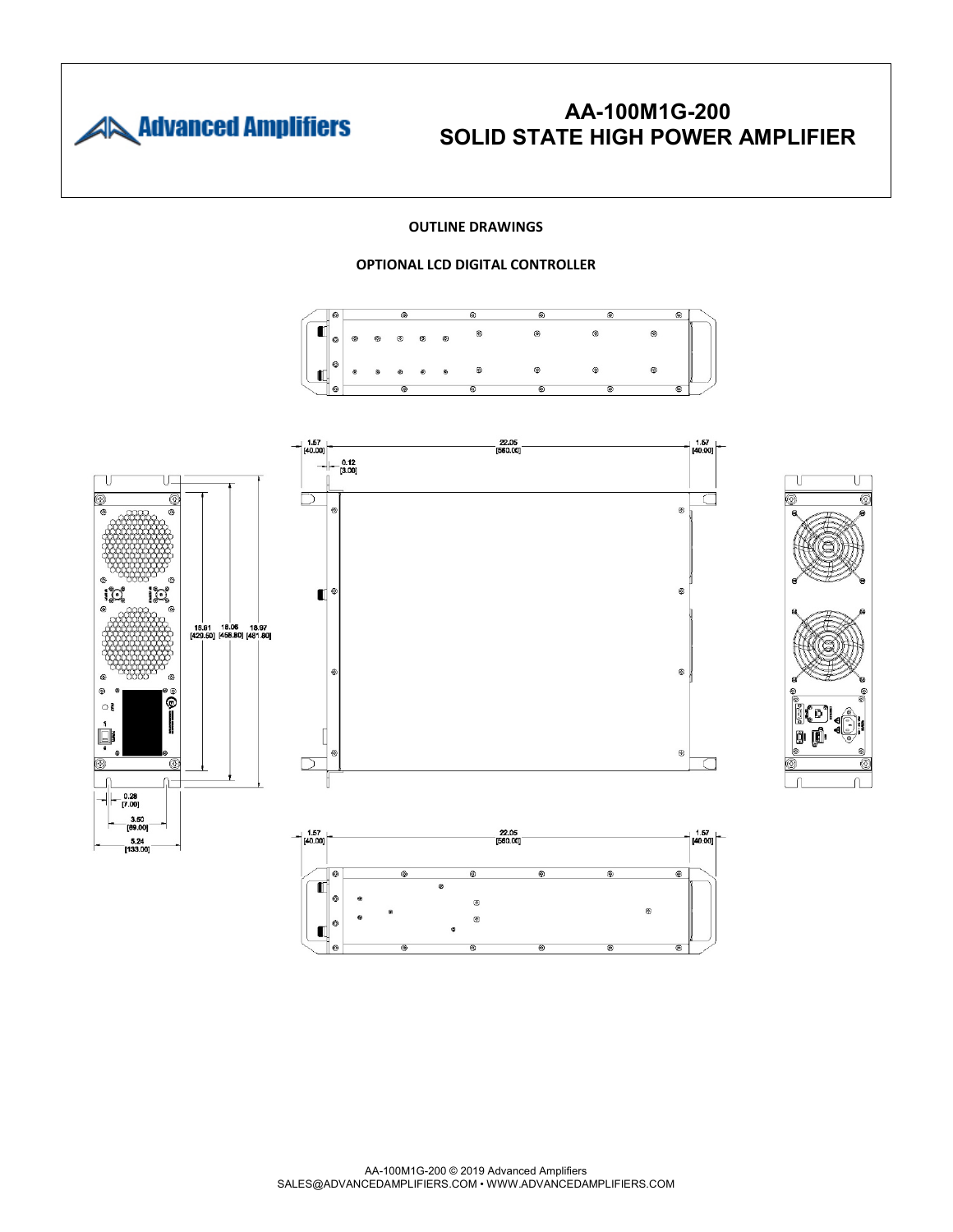

## **AA-100M1G-200 SOLID STATE HIGH POWER AMPLIFIER**

U

⊚

#### **OUTLINE DRAWINGS**

### **OPTIONAL LCD DIGITAL CONTROLLER**